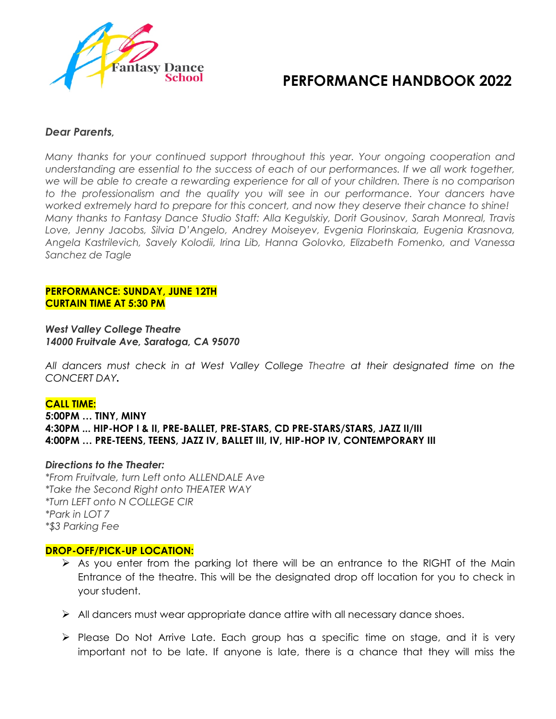

# **PERFORMANCE HANDBOOK 2022**

## *Dear Parents,*

*Many thanks for your continued support throughout this year. Your ongoing cooperation and understanding are essential to the success of each of our performances. If we all work together, we will be able to create a rewarding experience for all of your children. There is no comparison to the professionalism and the quality you will see in our performance. Your dancers have worked extremely hard to prepare for this concert, and now they deserve their chance to shine! Many thanks to Fantasy Dance Studio Staff: Alla Kegulskiy, Dorit Gousinov, Sarah Monreal, Travis Love, Jenny Jacobs, Silvia D'Angelo, Andrey Moiseyev, Evgenia Florinskaia, Eugenia Krasnova, Angela Kastrilevich, Savely Kolodii, Irina Lib, Hanna Golovko, Elizabeth Fomenko, and Vanessa Sanchez de Tagle*

#### **PERFORMANCE: SUNDAY, JUNE 12TH CURTAIN TIME AT 5:30 PM**

*West Valley College Theatre 14000 Fruitvale Ave, Saratoga, CA 95070*

*All dancers must check in at West Valley College Theatre at their designated time on the CONCERT DAY.*

## **CALL TIME:**

**5:00PM … TINY, MINY 4:30PM ... HIP-HOP I & II, PRE-BALLET, PRE-STARS, CD PRE-STARS/STARS, JAZZ II/III 4:00PM … PRE-TEENS, TEENS, JAZZ IV, BALLET III, IV, HIP-HOP IV, CONTEMPORARY III**

#### *Directions to the Theater:*

*\*From Fruitvale, turn Left onto ALLENDALE Ave \*Take the Second Right onto THEATER WAY \*Turn LEFT onto N COLLEGE CIR \*Park in LOT 7 \*\$3 Parking Fee*

#### **DROP-OFF/PICK-UP LOCATION:**

- $\triangleright$  As you enter from the parking lot there will be an entrance to the RIGHT of the Main Entrance of the theatre. This will be the designated drop off location for you to check in your student.
- $\triangleright$  All dancers must wear appropriate dance attire with all necessary dance shoes.
- $\triangleright$  Please Do Not Arrive Late. Each group has a specific time on stage, and it is very important not to be late. If anyone is late, there is a chance that they will miss the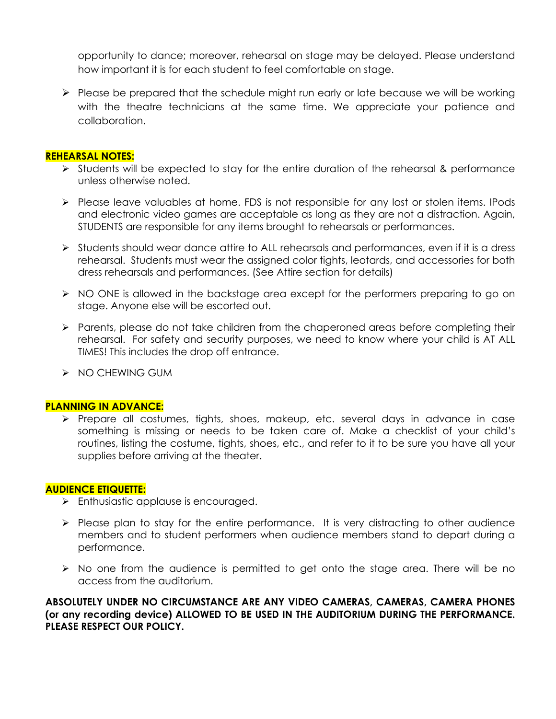opportunity to dance; moreover, rehearsal on stage may be delayed. Please understand how important it is for each student to feel comfortable on stage.

 $\triangleright$  Please be prepared that the schedule might run early or late because we will be working with the theatre technicians at the same time. We appreciate your patience and collaboration.

#### **REHEARSAL NOTES:**

- $\triangleright$  Students will be expected to stay for the entire duration of the rehearsal & performance unless otherwise noted.
- $\triangleright$  Please leave valuables at home. FDS is not responsible for any lost or stolen items. IPods and electronic video games are acceptable as long as they are not a distraction. Again, STUDENTS are responsible for any items brought to rehearsals or performances.
- $\triangleright$  Students should wear dance attire to ALL rehearsals and performances, even if it is a dress rehearsal. Students must wear the assigned color tights, leotards, and accessories for both dress rehearsals and performances. (See Attire section for details)
- $\triangleright$  NO ONE is allowed in the backstage area except for the performers preparing to go on stage. Anyone else will be escorted out.
- $\triangleright$  Parents, please do not take children from the chaperoned areas before completing their rehearsal. For safety and security purposes, we need to know where your child is AT ALL TIMES! This includes the drop off entrance.
- $\triangleright$  NO CHEWING GUM

#### **PLANNING IN ADVANCE:**

Ø Prepare all costumes, tights, shoes, makeup, etc. several days in advance in case something is missing or needs to be taken care of. Make a checklist of your child's routines, listing the costume, tights, shoes, etc., and refer to it to be sure you have all your supplies before arriving at the theater.

## **AUDIENCE ETIQUETTE:**

- $\triangleright$  Enthusiastic applause is encouraged.
- $\triangleright$  Please plan to stay for the entire performance. It is very distracting to other audience members and to student performers when audience members stand to depart during a performance.
- $\triangleright$  No one from the audience is permitted to get onto the stage area. There will be no access from the auditorium.

**ABSOLUTELY UNDER NO CIRCUMSTANCE ARE ANY VIDEO CAMERAS, CAMERAS, CAMERA PHONES (or any recording device) ALLOWED TO BE USED IN THE AUDITORIUM DURING THE PERFORMANCE. PLEASE RESPECT OUR POLICY.**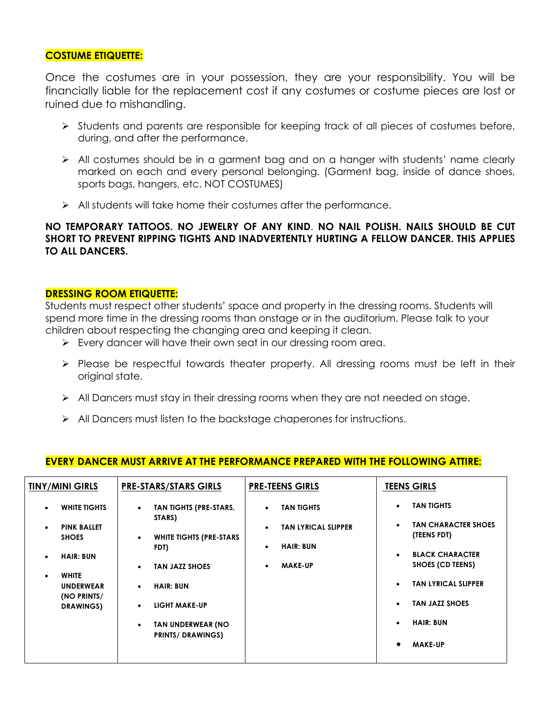## **COSTUME ETIQUETTE:**

Once the costumes are in your possession, they are your responsibility. You will be financially liable for the replacement cost if any costumes or costume pieces are lost or ruined due to mishandling.

- $\triangleright$  Students and parents are responsible for keeping track of all pieces of costumes before, during, and after the performance.
- Ø All costumes should be in a garment bag and on a hanger with students' name clearly marked on each and every personal belonging. (Garment bag, inside of dance shoes, sports bags, hangers, etc. NOT COSTUMES)
- $\triangleright$  All students will take home their costumes after the performance.

**NO TEMPORARY TATTOOS. NO JEWELRY OF ANY KIND**. **NO NAIL POLISH. NAILS SHOULD BE CUT SHORT TO PREVENT RIPPING TIGHTS AND INADVERTENTLY HURTING A FELLOW DANCER. THIS APPLIES TO ALL DANCERS.**

#### **DRESSING ROOM ETIQUETTE:**

Students must respect other students' space and property in the dressing rooms. Students will spend more time in the dressing rooms than onstage or in the auditorium. Please talk to your children about respecting the changing area and keeping it clean.

- $\triangleright$  Every dancer will have their own seat in our dressing room area.
- $\triangleright$  Please be respectful towards theater property. All dressing rooms must be left in their original state.
- $\triangleright$  All Dancers must stay in their dressing rooms when they are not needed on stage.
- $\triangleright$  All Dancers must listen to the backstage chaperones for instructions.

| <b>TINY/MINI GIRLS</b>                                                                                                                                                                                   | <b>PRE-STARS/STARS GIRLS</b>                                                                                                                                                                                                                                      | <b>PRE-TEENS GIRLS</b>                                                                                                                    | <b>TEENS GIRLS</b>                                                                                                                                                                                                                  |
|----------------------------------------------------------------------------------------------------------------------------------------------------------------------------------------------------------|-------------------------------------------------------------------------------------------------------------------------------------------------------------------------------------------------------------------------------------------------------------------|-------------------------------------------------------------------------------------------------------------------------------------------|-------------------------------------------------------------------------------------------------------------------------------------------------------------------------------------------------------------------------------------|
| <b>WHITE TIGHTS</b><br>$\bullet$<br><b>PINK BALLET</b><br>$\bullet$<br><b>SHOES</b><br><b>HAIR: BUN</b><br>$\bullet$<br><b>WHITE</b><br>$\bullet$<br><b>UNDERWEAR</b><br>(NO PRINTS/<br><b>DRAWINGS)</b> | TAN TIGHTS (PRE-STARS,<br>$\bullet$<br>STARS)<br><b>WHITE TIGHTS (PRE-STARS)</b><br>$\bullet$<br>FDT)<br><b>TAN JAZZ SHOES</b><br>$\bullet$<br><b>HAIR: BUN</b><br>$\bullet$<br><b>LIGHT MAKE-UP</b><br>TAN UNDERWEAR (NO<br>$\bullet$<br><b>PRINTS/DRAWINGS)</b> | <b>TAN TIGHTS</b><br>$\bullet$<br><b>TAN LYRICAL SLIPPER</b><br>$\bullet$<br><b>HAIR: BUN</b><br>$\bullet$<br><b>MAKE-UP</b><br>$\bullet$ | <b>TAN TIGHTS</b><br><b>TAN CHARACTER SHOES</b><br>(TEENS FDT)<br><b>BLACK CHARACTER</b><br>$\bullet$<br>SHOES (CD TEENS)<br><b>TAN LYRICAL SLIPPER</b><br><b>TAN JAZZ SHOES</b><br><b>HAIR: BUN</b><br><b>MAKE-UP</b><br>$\bullet$ |
|                                                                                                                                                                                                          |                                                                                                                                                                                                                                                                   |                                                                                                                                           |                                                                                                                                                                                                                                     |

## **EVERY DANCER MUST ARRIVE AT THE PERFORMANCE PREPARED WITH THE FOLLOWING ATTIRE:**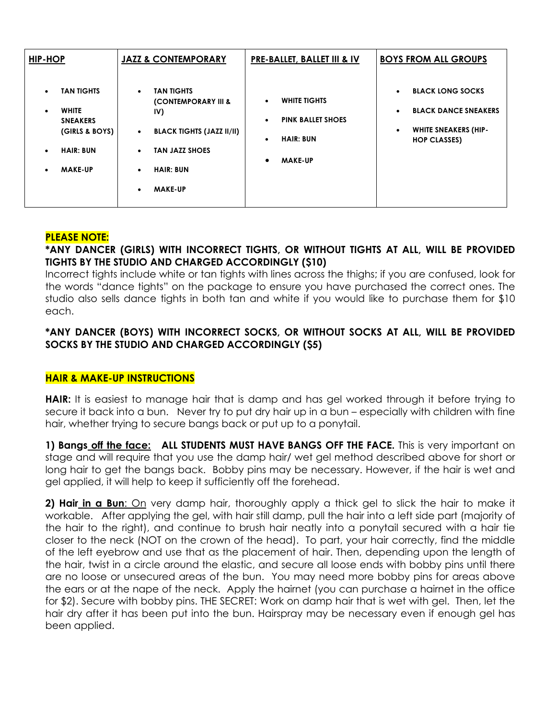| HIP-HOP                                                                                                                                                          | <b>JAZZ &amp; CONTEMPORARY</b>                                                                                                                                                                                                 | <b>PRE-BALLET, BALLET III &amp; IV</b>                                                                                                    | <b>BOYS FROM ALL GROUPS</b>                                                                                                                         |
|------------------------------------------------------------------------------------------------------------------------------------------------------------------|--------------------------------------------------------------------------------------------------------------------------------------------------------------------------------------------------------------------------------|-------------------------------------------------------------------------------------------------------------------------------------------|-----------------------------------------------------------------------------------------------------------------------------------------------------|
| <b>TAN TIGHTS</b><br>$\bullet$<br><b>WHITE</b><br>$\bullet$<br><b>SNEAKERS</b><br>(GIRLS & BOYS)<br><b>HAIR: BUN</b><br>$\bullet$<br><b>MAKE-UP</b><br>$\bullet$ | <b>TAN TIGHTS</b><br>$\bullet$<br><b>(CONTEMPORARY III &amp;</b><br>IV)<br><b>BLACK TIGHTS (JAZZ II/II)</b><br>$\bullet$<br><b>TAN JAZZ SHOES</b><br>$\bullet$<br><b>HAIR: BUN</b><br>$\bullet$<br><b>MAKE-UP</b><br>$\bullet$ | <b>WHITE TIGHTS</b><br>$\bullet$<br><b>PINK BALLET SHOES</b><br>$\bullet$<br><b>HAIR: BUN</b><br>$\bullet$<br><b>MAKE-UP</b><br>$\bullet$ | <b>BLACK LONG SOCKS</b><br>$\bullet$<br><b>BLACK DANCE SNEAKERS</b><br>$\bullet$<br><b>WHITE SNEAKERS (HIP-</b><br>$\bullet$<br><b>HOP CLASSES)</b> |

# **PLEASE NOTE:**

# **\*ANY DANCER (GIRLS) WITH INCORRECT TIGHTS, OR WITHOUT TIGHTS AT ALL, WILL BE PROVIDED TIGHTS BY THE STUDIO AND CHARGED ACCORDINGLY (\$10)**

Incorrect tights include white or tan tights with lines across the thighs; if you are confused, look for the words "dance tights" on the package to ensure you have purchased the correct ones. The studio also sells dance tights in both tan and white if you would like to purchase them for \$10 each.

# **\*ANY DANCER (BOYS) WITH INCORRECT SOCKS, OR WITHOUT SOCKS AT ALL, WILL BE PROVIDED SOCKS BY THE STUDIO AND CHARGED ACCORDINGLY (\$5)**

# **HAIR & MAKE-UP INSTRUCTIONS**

**HAIR:** It is easiest to manage hair that is damp and has gel worked through it before trying to secure it back into a bun. Never try to put dry hair up in a bun – especially with children with fine hair, whether trying to secure bangs back or put up to a ponytail.

**1) Bangs off the face: ALL STUDENTS MUST HAVE BANGS OFF THE FACE.** This is very important on stage and will require that you use the damp hair/ wet gel method described above for short or long hair to get the bangs back. Bobby pins may be necessary. However, if the hair is wet and gel applied, it will help to keep it sufficiently off the forehead.

**2) Hair in a Bun**: On very damp hair, thoroughly apply a thick gel to slick the hair to make it workable. After applying the gel, with hair still damp, pull the hair into a left side part (majority of the hair to the right), and continue to brush hair neatly into a ponytail secured with a hair tie closer to the neck (NOT on the crown of the head). To part, your hair correctly, find the middle of the left eyebrow and use that as the placement of hair. Then, depending upon the length of the hair, twist in a circle around the elastic, and secure all loose ends with bobby pins until there are no loose or unsecured areas of the bun. You may need more bobby pins for areas above the ears or at the nape of the neck. Apply the hairnet (you can purchase a hairnet in the office for \$2). Secure with bobby pins. THE SECRET: Work on damp hair that is wet with gel. Then, let the hair dry after it has been put into the bun. Hairspray may be necessary even if enough gel has been applied.